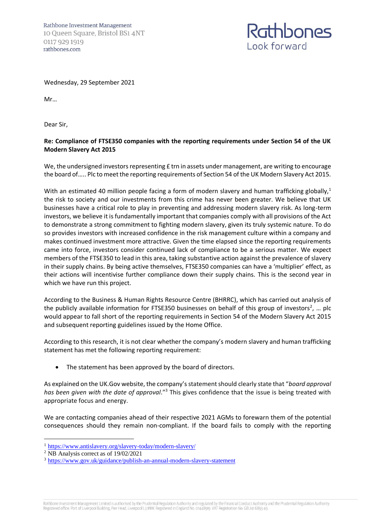

Wednesday, 29 September 2021

Mr…

Dear Sir,

## **Re: Compliance of FTSE350 companies with the reporting requirements under Section 54 of the UK Modern Slavery Act 2015**

We, the undersigned investors representing £ trn in assets under management, are writing to encourage the board of….. Plc to meet the reporting requirements of Section 54 of the UK Modern Slavery Act 2015.

With an estimated 40 million people facing a form of modern slavery and human trafficking globally,<sup>1</sup> the risk to society and our investments from this crime has never been greater. We believe that UK businesses have a critical role to play in preventing and addressing modern slavery risk. As long-term investors, we believe it is fundamentally important that companies comply with all provisions of the Act to demonstrate a strong commitment to fighting modern slavery, given its truly systemic nature. To do so provides investors with increased confidence in the risk management culture within a company and makes continued investment more attractive. Given the time elapsed since the reporting requirements came into force, investors consider continued lack of compliance to be a serious matter. We expect members of the FTSE350 to lead in this area, taking substantive action against the prevalence of slavery in their supply chains. By being active themselves, FTSE350 companies can have a 'multiplier' effect, as their actions will incentivise further compliance down their supply chains. This is the second year in which we have run this project.

According to the Business & Human Rights Resource Centre (BHRRC), which has carried out analysis of the publicly available information for FTSE350 businesses on behalf of this group of investors<sup>2</sup>, ... plc would appear to fall short of the reporting requirements in Section 54 of the Modern Slavery Act 2015 and subsequent reporting guidelines issued by the Home Office.

According to this research, it is not clear whether the company's modern slavery and human trafficking statement has met the following reporting requirement:

The statement has been approved by the board of directors.

As explained on the UK.Gov website, the company's statement should clearly state that "*board approval*  has been given with the date of approval."<sup>3</sup> This gives confidence that the issue is being treated with appropriate focus and energy.

We are contacting companies ahead of their respective 2021 AGMs to forewarn them of the potential consequences should they remain non-compliant. If the board fails to comply with the reporting

Rathbone Investment Management Limited is authorised by the Prudential Regulation Authority and regulated by the Financial Conduct Authority and the Prudential Regulation Authority Registered office: Port of Liverpool Building, Pier Head, Liverpool L3 INW. Registered in England No. 01448919. VAT Registration No. GB 241 6893 49.

<sup>1</sup> <https://www.antislavery.org/slavery-today/modern-slavery/>

<sup>2</sup> NB Analysis correct as of 19/02/2021

<sup>3</sup> <https://www.gov.uk/guidance/publish-an-annual-modern-slavery-statement>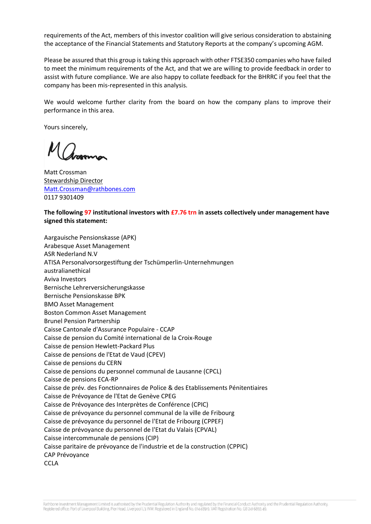requirements of the Act, members of this investor coalition will give serious consideration to abstaining the acceptance of the Financial Statements and Statutory Reports at the company's upcoming AGM.

Please be assured that this group is taking this approach with other FTSE350 companies who have failed to meet the minimum requirements of the Act, and that we are willing to provide feedback in order to assist with future compliance. We are also happy to collate feedback for the BHRRC if you feel that the company has been mis-represented in this analysis.

We would welcome further clarity from the board on how the company plans to improve their performance in this area.

Yours sincerely,

Matt Crossman Stewardship Director [Matt.Crossman@rathbones.com](mailto:Matt.Crossman@rathbones.com) 0117 9301409

**The following 97 institutional investors with £7.76 trn in assets collectively under management have signed this statement:** 

Aargauische Pensionskasse (APK) Arabesque Asset Management ASR Nederland N.V ATISA Personalvorsorgestiftung der Tschümperlin-Unternehmungen australianethical Aviva Investors Bernische Lehrerversicherungskasse Bernische Pensionskasse BPK BMO Asset Management Boston Common Asset Management Brunel Pension Partnership Caisse Cantonale d'Assurance Populaire - CCAP Caisse de pension du Comité international de la Croix-Rouge Caisse de pension Hewlett-Packard Plus Caisse de pensions de l'Etat de Vaud (CPEV) Caisse de pensions du CERN Caisse de pensions du personnel communal de Lausanne (CPCL) Caisse de pensions ECA-RP Caisse de prév. des Fonctionnaires de Police & des Etablissements Pénitentiaires Caisse de Prévoyance de l'Etat de Genève CPEG Caisse de Prévoyance des Interprètes de Conférence (CPIC) Caisse de prévoyance du personnel communal de la ville de Fribourg Caisse de prévoyance du personnel de l'Etat de Fribourg (CPPEF) Caisse de prévoyance du personnel de l'Etat du Valais (CPVAL) Caisse intercommunale de pensions (CIP) Caisse paritaire de prévoyance de l'industrie et de la construction (CPPIC) CAP Prévoyance **CCLA**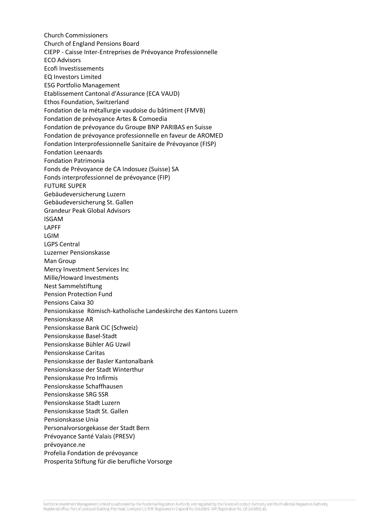Church Commissioners Church of England Pensions Board CIEPP - Caisse Inter-Entreprises de Prévoyance Professionnelle ECO Advisors Ecofi Investissements EQ Investors Limited ESG Portfolio Management Etablissement Cantonal d'Assurance (ECA VAUD) Ethos Foundation, Switzerland Fondation de la métallurgie vaudoise du bâtiment (FMVB) Fondation de prévoyance Artes & Comoedia Fondation de prévoyance du Groupe BNP PARIBAS en Suisse Fondation de prévoyance professionnelle en faveur de AROMED Fondation Interprofessionnelle Sanitaire de Prévoyance (FISP) Fondation Leenaards Fondation Patrimonia Fonds de Prévoyance de CA Indosuez (Suisse) SA Fonds interprofessionnel de prévoyance (FIP) FUTURE SUPER Gebäudeversicherung Luzern Gebäudeversicherung St. Gallen Grandeur Peak Global Advisors ISGAM LAPFF LGIM LGPS Central Luzerner Pensionskasse Man Group Mercy Investment Services Inc Mille/Howard Investments Nest Sammelstiftung Pension Protection Fund Pensions Caixa 30 Pensionskasse Römisch-katholische Landeskirche des Kantons Luzern Pensionskasse AR Pensionskasse Bank CIC (Schweiz) Pensionskasse Basel-Stadt Pensionskasse Bühler AG Uzwil Pensionskasse Caritas Pensionskasse der Basler Kantonalbank Pensionskasse der Stadt Winterthur Pensionskasse Pro Infirmis Pensionskasse Schaffhausen Pensionskasse SRG SSR Pensionskasse Stadt Luzern Pensionskasse Stadt St. Gallen Pensionskasse Unia Personalvorsorgekasse der Stadt Bern Prévoyance Santé Valais (PRESV) prévoyance.ne Profelia Fondation de prévoyance Prosperita Stiftung für die berufliche Vorsorge